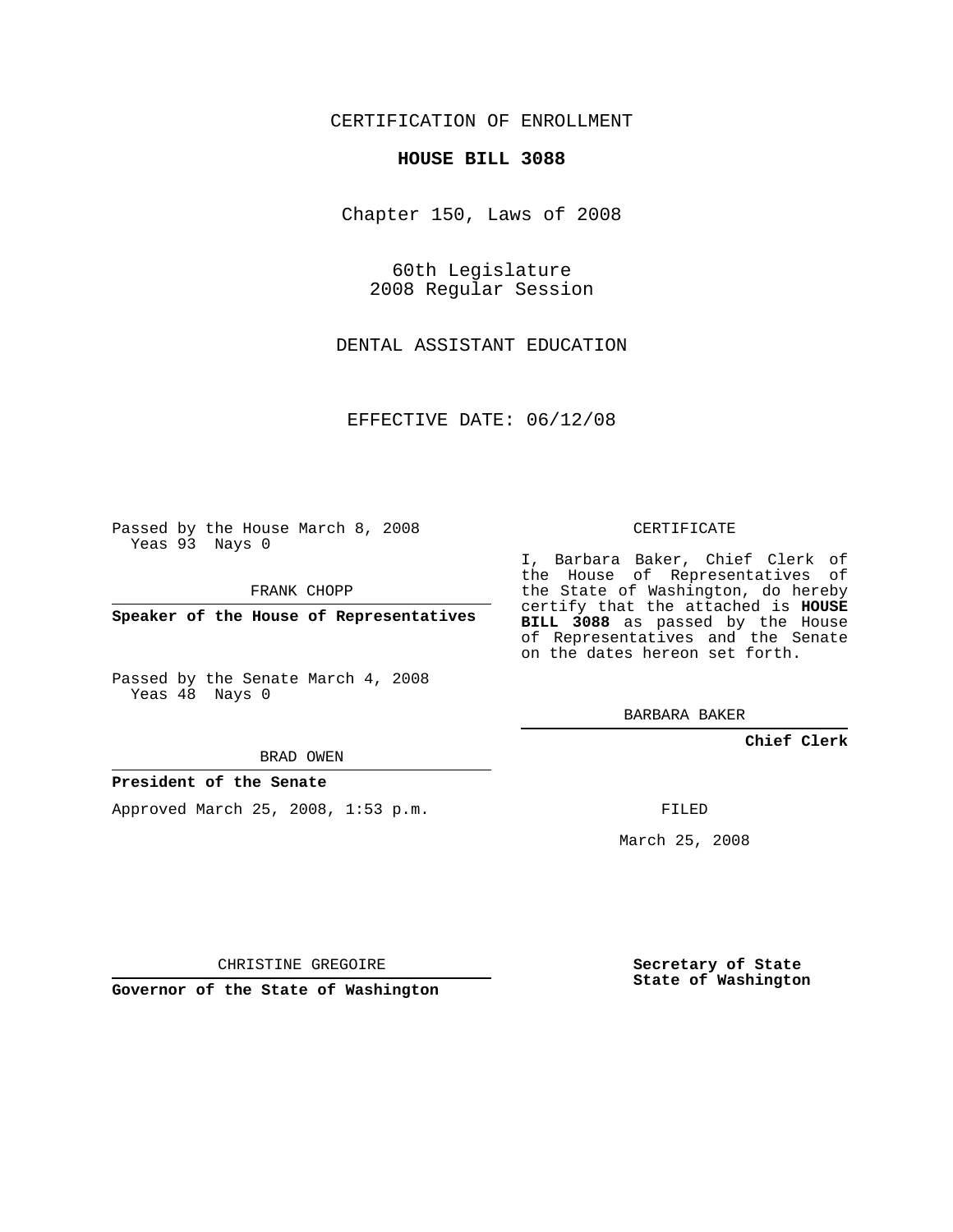CERTIFICATION OF ENROLLMENT

## **HOUSE BILL 3088**

Chapter 150, Laws of 2008

60th Legislature 2008 Regular Session

DENTAL ASSISTANT EDUCATION

EFFECTIVE DATE: 06/12/08

Passed by the House March 8, 2008 Yeas 93 Nays 0

FRANK CHOPP

**Speaker of the House of Representatives**

Passed by the Senate March 4, 2008 Yeas 48 Nays 0

BRAD OWEN

## **President of the Senate**

Approved March 25, 2008, 1:53 p.m.

CERTIFICATE

I, Barbara Baker, Chief Clerk of the House of Representatives of the State of Washington, do hereby certify that the attached is **HOUSE BILL 3088** as passed by the House of Representatives and the Senate on the dates hereon set forth.

BARBARA BAKER

**Chief Clerk**

FILED

March 25, 2008

CHRISTINE GREGOIRE

**Governor of the State of Washington**

**Secretary of State State of Washington**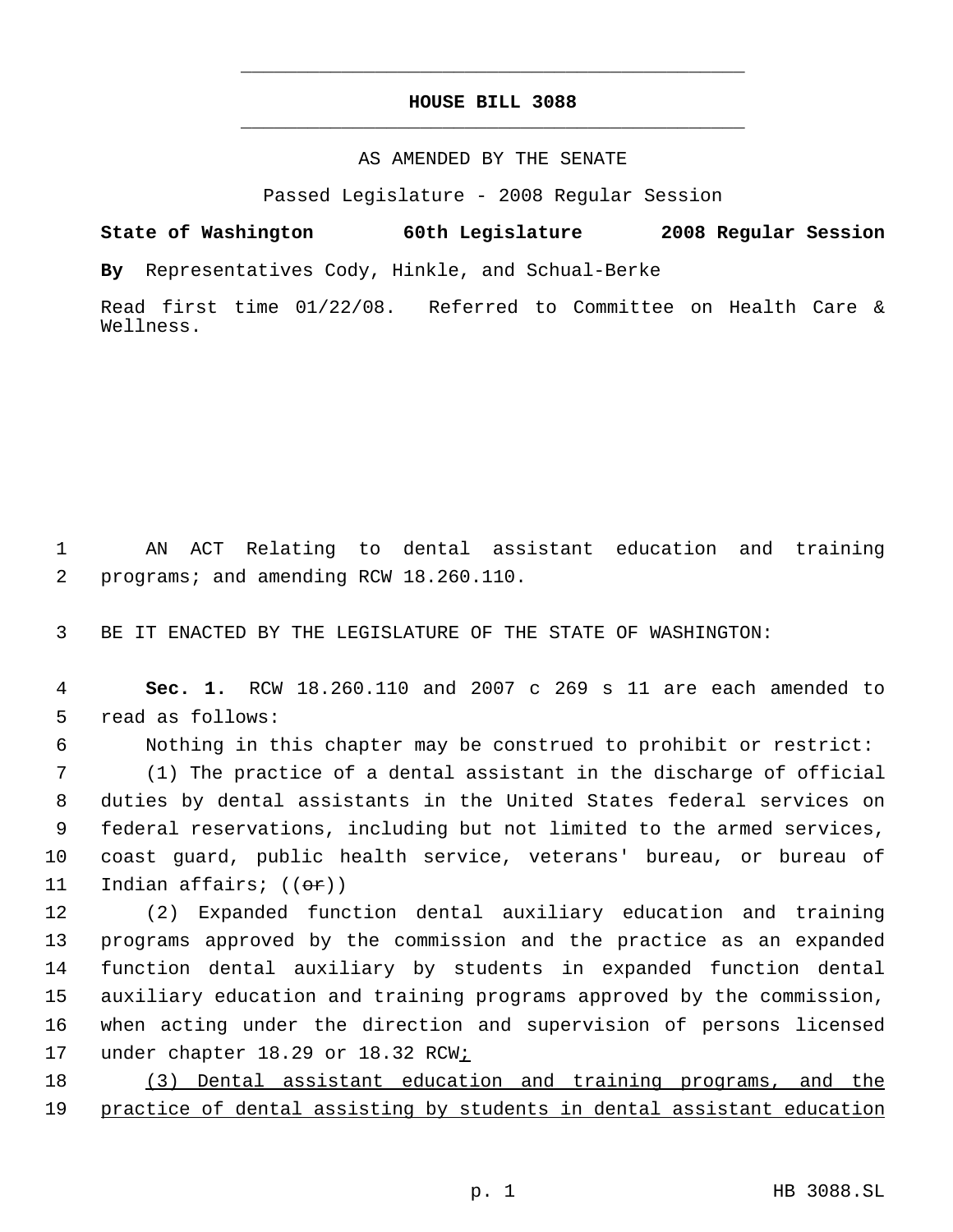## **HOUSE BILL 3088** \_\_\_\_\_\_\_\_\_\_\_\_\_\_\_\_\_\_\_\_\_\_\_\_\_\_\_\_\_\_\_\_\_\_\_\_\_\_\_\_\_\_\_\_\_

\_\_\_\_\_\_\_\_\_\_\_\_\_\_\_\_\_\_\_\_\_\_\_\_\_\_\_\_\_\_\_\_\_\_\_\_\_\_\_\_\_\_\_\_\_

## AS AMENDED BY THE SENATE

Passed Legislature - 2008 Regular Session

**State of Washington 60th Legislature 2008 Regular Session By** Representatives Cody, Hinkle, and Schual-Berke

Read first time 01/22/08. Referred to Committee on Health Care & Wellness.

 1 AN ACT Relating to dental assistant education and training 2 programs; and amending RCW 18.260.110.

3 BE IT ENACTED BY THE LEGISLATURE OF THE STATE OF WASHINGTON:

 4 **Sec. 1.** RCW 18.260.110 and 2007 c 269 s 11 are each amended to 5 read as follows:

6 Nothing in this chapter may be construed to prohibit or restrict:

 (1) The practice of a dental assistant in the discharge of official duties by dental assistants in the United States federal services on federal reservations, including but not limited to the armed services, coast guard, public health service, veterans' bureau, or bureau of 11 Indian affairs; ((<del>or</del>))

 (2) Expanded function dental auxiliary education and training programs approved by the commission and the practice as an expanded function dental auxiliary by students in expanded function dental auxiliary education and training programs approved by the commission, when acting under the direction and supervision of persons licensed 17 under chapter 18.29 or 18.32 RCW<sub>i</sub>

18 (3) Dental assistant education and training programs, and the 19 practice of dental assisting by students in dental assistant education